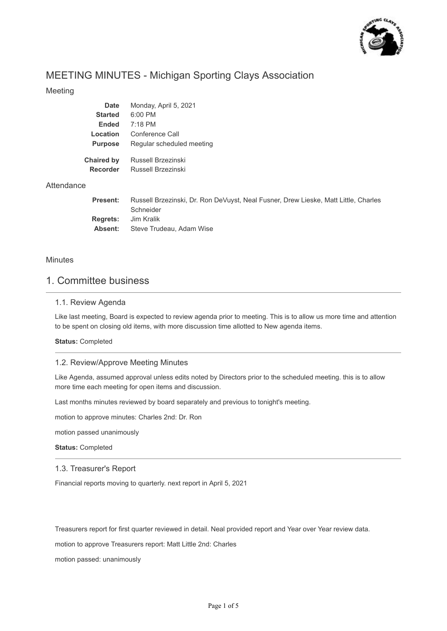

# MEETING MINUTES - Michigan Sporting Clays Association

Steve Trudeau, Adam Wise

## Meeting

| <b>Date</b>       | Monday, April 5, 2021                                                               |
|-------------------|-------------------------------------------------------------------------------------|
| <b>Started</b>    | 6:00 PM                                                                             |
| <b>Ended</b>      | $7:18$ PM                                                                           |
| Location          | Conference Call                                                                     |
| <b>Purpose</b>    | Regular scheduled meeting                                                           |
| <b>Chaired by</b> | Russell Brzezinski                                                                  |
| <b>Recorder</b>   | Russell Brzezinski                                                                  |
|                   |                                                                                     |
| Present:          | Russell Brzezinski, Dr. Ron DeVuyst, Neal Fusner, Drew Lieske, Matt Little, Charles |
|                   | Schneider                                                                           |
| <b>Regrets:</b>   | Jim Kralik                                                                          |

## Minutes

**Attendance** 

## 1. Committee business

**Absent:**

## 1.1. Review Agenda

Like last meeting, Board is expected to review agenda prior to meeting. This is to allow us more time and attention to be spent on closing old items, with more discussion time allotted to New agenda items.

## **Status:** Completed

## 1.2. Review/Approve Meeting Minutes

Like Agenda, assumed approval unless edits noted by Directors prior to the scheduled meeting. this is to allow more time each meeting for open items and discussion.

Last months minutes reviewed by board separately and previous to tonight's meeting.

motion to approve minutes: Charles 2nd: Dr. Ron

motion passed unanimously

**Status:** Completed

## 1.3. Treasurer's Report

Financial reports moving to quarterly. next report in April 5, 2021

Treasurers report for first quarter reviewed in detail. Neal provided report and Year over Year review data.

motion to approve Treasurers report: Matt Little 2nd: Charles

motion passed: unanimously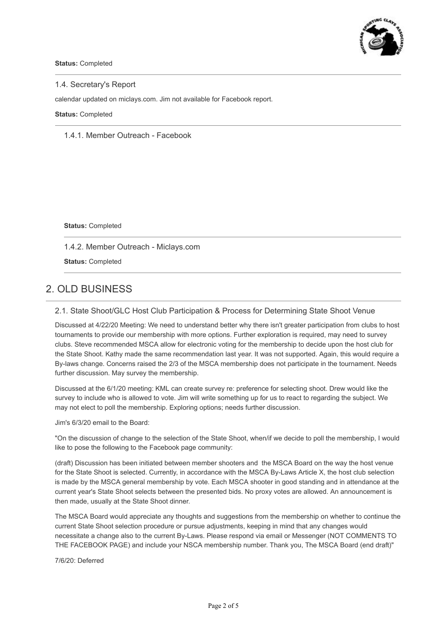

### 1.4. Secretary's Report

calendar updated on miclays.com. Jim not available for Facebook report.

#### **Status:** Completed

1.4.1. Member Outreach - Facebook

**Status:** Completed

1.4.2. Member Outreach - Miclays.com

**Status:** Completed

# 2. OLD BUSINESS

## 2.1. State Shoot/GLC Host Club Participation & Process for Determining State Shoot Venue

Discussed at 4/22/20 Meeting: We need to understand better why there isn't greater participation from clubs to host tournaments to provide our membership with more options. Further exploration is required, may need to survey clubs. Steve recommended MSCA allow for electronic voting for the membership to decide upon the host club for the State Shoot. Kathy made the same recommendation last year. It was not supported. Again, this would require a By-laws change. Concerns raised the 2/3 of the MSCA membership does not participate in the tournament. Needs further discussion. May survey the membership.

Discussed at the 6/1/20 meeting: KML can create survey re: preference for selecting shoot. Drew would like the survey to include who is allowed to vote. Jim will write something up for us to react to regarding the subject. We may not elect to poll the membership. Exploring options; needs further discussion.

### Jim's 6/3/20 email to the Board:

"On the discussion of change to the selection of the State Shoot, when/if we decide to poll the membership, I would like to pose the following to the Facebook page community:

(draft) Discussion has been initiated between member shooters and the MSCA Board on the way the host venue for the State Shoot is selected. Currently, in accordance with the MSCA By-Laws Article X, the host club selection is made by the MSCA general membership by vote. Each MSCA shooter in good standing and in attendance at the current year's State Shoot selects between the presented bids. No proxy votes are allowed. An announcement is then made, usually at the State Shoot dinner.

The MSCA Board would appreciate any thoughts and suggestions from the membership on whether to continue the current State Shoot selection procedure or pursue adjustments, keeping in mind that any changes would necessitate a change also to the current By-Laws. Please respond via email or Messenger (NOT COMMENTS TO THE FACEBOOK PAGE) and include your NSCA membership number. Thank you, The MSCA Board (end draft)"

7/6/20: Deferred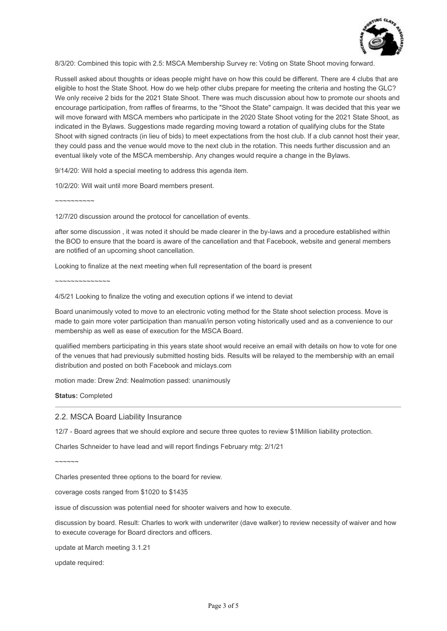

8/3/20: Combined this topic with 2.5: MSCA Membership Survey re: Voting on State Shoot moving forward.

Russell asked about thoughts or ideas people might have on how this could be different. There are 4 clubs that are eligible to host the State Shoot. How do we help other clubs prepare for meeting the criteria and hosting the GLC? We only receive 2 bids for the 2021 State Shoot. There was much discussion about how to promote our shoots and encourage participation, from raffles of firearms, to the "Shoot the State" campaign. It was decided that this year we will move forward with MSCA members who participate in the 2020 State Shoot voting for the 2021 State Shoot, as indicated in the Bylaws. Suggestions made regarding moving toward a rotation of qualifying clubs for the State Shoot with signed contracts (in lieu of bids) to meet expectations from the host club. If a club cannot host their year, they could pass and the venue would move to the next club in the rotation. This needs further discussion and an eventual likely vote of the MSCA membership. Any changes would require a change in the Bylaws.

9/14/20: Will hold a special meeting to address this agenda item.

10/2/20: Will wait until more Board members present.

~~~~~~~~~~

12/7/20 discussion around the protocol for cancellation of events.

after some discussion , it was noted it should be made clearer in the by-laws and a procedure established within the BOD to ensure that the board is aware of the cancellation and that Facebook, website and general members are notified of an upcoming shoot cancellation.

Looking to finalize at the next meeting when full representation of the board is present

~~~~~~~~~~~~~~

4/5/21 Looking to finalize the voting and execution options if we intend to deviat

Board unanimously voted to move to an electronic voting method for the State shoot selection process. Move is made to gain more voter participation than manual/in person voting historically used and as a convenience to our membership as well as ease of execution for the MSCA Board.

qualified members participating in this years state shoot would receive an email with details on how to vote for one of the venues that had previously submitted hosting bids. Results will be relayed to the membership with an email distribution and posted on both Facebook and miclays.com

motion made: Drew 2nd: Nealmotion passed: unanimously

**Status:** Completed

#### 2.2. MSCA Board Liability Insurance

12/7 - Board agrees that we should explore and secure three quotes to review \$1Million liability protection.

Charles Schneider to have lead and will report findings February mtg: 2/1/21

 $\sim$  $\sim$  $\sim$  $\sim$  $\sim$ 

Charles presented three options to the board for review.

coverage costs ranged from \$1020 to \$1435

issue of discussion was potential need for shooter waivers and how to execute.

discussion by board. Result: Charles to work with underwriter (dave walker) to review necessity of waiver and how to execute coverage for Board directors and officers.

update at March meeting 3.1.21

update required: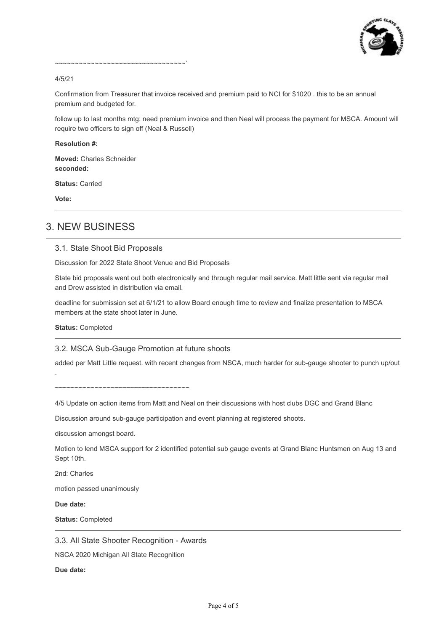

#### 4/5/21

Confirmation from Treasurer that invoice received and premium paid to NCI for \$1020 . this to be an annual premium and budgeted for.

follow up to last months mtg: need premium invoice and then Neal will process the payment for MSCA. Amount will require two officers to sign off (Neal & Russell)

## **Resolution #:**

**Moved:** Charles Schneider **seconded:**

**Status:** Carried

**Vote:**

## 3. NEW BUSINESS

## 3.1. State Shoot Bid Proposals

Discussion for 2022 State Shoot Venue and Bid Proposals

State bid proposals went out both electronically and through regular mail service. Matt little sent via regular mail and Drew assisted in distribution via email.

deadline for submission set at 6/1/21 to allow Board enough time to review and finalize presentation to MSCA members at the state shoot later in June.

**Status:** Completed

.

## 3.2. MSCA Sub-Gauge Promotion at future shoots

added per Matt Little request. with recent changes from NSCA, much harder for sub-gauge shooter to punch up/out

~~~~~~~~~~~~~~~~~~~~~~~~~~~~~~~~~

4/5 Update on action items from Matt and Neal on their discussions with host clubs DGC and Grand Blanc

Discussion around sub-gauge participation and event planning at registered shoots.

discussion amongst board.

Motion to lend MSCA support for 2 identified potential sub gauge events at Grand Blanc Huntsmen on Aug 13 and Sept 10th.

2nd: Charles

motion passed unanimously

**Due date:**

**Status:** Completed

3.3. All State Shooter Recognition - Awards

NSCA 2020 Michigan All State Recognition

**Due date:**